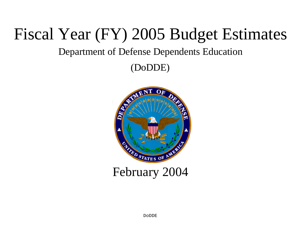# Fiscal Year (FY) 2005 Budget Estimates

# Department of Defense Dependents Education

(DoDDE)

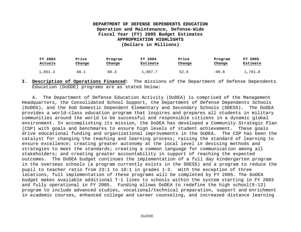| FY 2003 | Price  | Program | FY 2004  | Price  | Program | FY 2005  |
|---------|--------|---------|----------|--------|---------|----------|
| Actuals | Change | Change  | Estimate | Change | Change  | Estimate |
| 1,651.3 | 68.1   | 88.3    | 1,807.7  | 52.9   | $-98.8$ | 1,761.8  |

**I. Description of Operations Financed:** The missions of the Department of Defense Dependents Education (DoDDE) programs are as stated below:

A. The Department of Defense Education Activity (DoDEA) is comprised of the Management Headquarters, the Consolidated School Support, the Department of Defense Dependents Schools (DoDDS), and the DoD Domestic Dependent Elementary and Secondary Schools (DDESS). The DoDEA provides a world-class education program that inspires and prepares all students in military communities around the world to be successful and responsible citizens in a dynamic global environment. In accomplishing its mission, the DoDEA has developed a Community Strategic Plan (CSP) with goals and benchmarks to ensure high levels of student achievement. These goals drive educational funding and organizational improvements in the DoDEA. The CSP has been the catalyst for changing the teaching and learning process; raising the standard of learning to ensure excellence; creating greater autonomy at the local level in devising methods and strategies to meet the standards; creating a common language for communication among all stakeholders; and creating greater accountability in support of reaching the expected outcomes. The DoDEA budget continues the implementation of a full day kindergarten program in the overseas schools (a program currently exists in the DDESS) and a program to reduce the pupil to teacher ratio from 23:1 to 18:1 in grades 1-3. With the exception of three locations, full implementation of these programs will be completed by FY 2005. The DoDEA budget makes available additional T-1 lines to schools within the system starting in FY 2003 and fully operational in FY 2005. Funding allows DoDEA to redefine the high school(9-12) program to include advanced studies, vocational/technical preparation, support and enrichment in academic courses, enhanced college and career counseling, and increased distance learning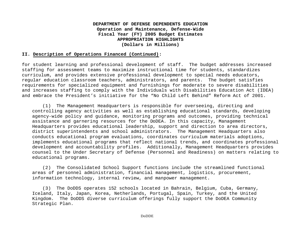#### **II. Description of Operations Financed (Continued):**

for student learning and professional development of staff. The budget addresses increased staffing for assessment teams to maximize instructional time for students, standardizes curriculum, and provides extensive professional development to special needs educators, regular education classroom teachers, administrators, and parents. The budget satisfies requirements for specialized equipment and furnishings for moderate to severe disabilities and increases staffing to comply with the Individuals with Disabilities Education Act (IDEA) and embrace the President's initiative for the "No Child Left Behind" Reform Act of 2001.

(1) The Management Headquarters is responsible for overseeing, directing and controlling agency activities as well as establishing educational standards, developing agency-wide policy and guidance, monitoring programs and outcomes, providing technical assistance and garnering resources for the DoDEA. In this capacity, Management Headquarters provides educational leadership, support and direction to area directors, district superintendents and school administrators. The Management Headquarters also conducts educational program evaluations, coordinates curriculum materials adoptions, implements educational programs that reflect national trends, and coordinates professional development and accountability profiles. Additionally, Management Headquarters provides counsel to the Under Secretary of Defense (Personnel and Readiness) on matters relating to educational programs.

(2) The Consolidated School Support functions include the streamlined functional areas of personnel administration, financial management, logistics, procurement, information technology, internal review, and manpower management.

(3) The DoDDS operates 152 schools located in Bahrain, Belgium, Cuba, Germany, Iceland, Italy, Japan, Korea, Netherlands, Portugal, Spain, Turkey, and the United Kingdom. The DoDDS diverse curriculum offerings fully support the DoDEA Community Strategic Plan.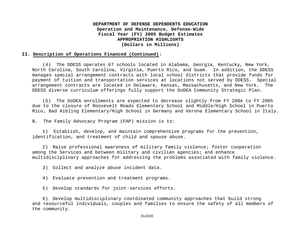#### **II. Description of Operations Financed (Continued):**

(4) The DDESS operates 67 schools located in Alabama, Georgia, Kentucky, New York, North Carolina, South Carolina, Virginia, Puerto Rico, and Guam. In addition, the DDESS manages special arrangement contracts with local school districts that provide funds for payment of tuition and transportation services at locations not served by DDESS. Special arrangement contracts are located in Delaware, Kansas, Massachusetts, and New York. The DDESS diverse curriculum offerings fully support the DoDEA Community Strategic Plan.

(5) The DoDEA enrollments are expected to decrease slightly from FY 2004 to FY 2005 due to the closure of Roosevelt Roads Elementary School and Middle/High School in Puerto Rico, Bad Aibling Elementary/High School in Germany and Verona Elementary School in Italy.

B. The Family Advocacy Program (FAP) mission is to:

1) Establish, develop, and maintain comprehensive programs for the prevention, identification, and treatment of child and spouse abuse.

2) Raise professional awareness of military family violence; foster cooperation among the Services and between military and civilian agencies; and enhance multidisciplinary approaches for addressing the problems associated with family violence.

3) Collect and analyze abuse incident data.

4) Evaluate prevention and treatment programs.

5) Develop standards for joint-services efforts.

6) Develop multidisciplinary coordinated community approaches that build strong and resourceful individuals, couples and families to ensure the safety of all members of the community.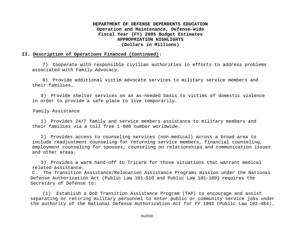#### **II. Description of Operations Financed (Continued):**

7) Cooperate with responsible civilian authorities in efforts to address problems associated with Family Advocacy.

8) Provide additional victim advocate services to military service members and their families.

9) Provide shelter services on an as-needed basis to victims of domestic violence in order to provide a safe place to live temporarily.

Family Assistance

1) Provides 24/7 family and service members assistance to military members and their families via a toll free 1-800 number worldwide.

2) Provides access to counseling services (non-medical) across a broad area to include readjustment counseling for returning service members, financial counseling, employment counseling for spouses, counseling on relationships and communication issues and other areas.

3) Provides a warm hand-off to Tricare for those situations that warrant medical related assistance.

C. The Transition Assistance/Relocation Assistance Programs mission under the National Defense Authorization Act (Public Law 101-510 and Public Law 101-189) requires the Secretary of Defense to:

(1) Establish a DoD Transition Assistance Program (TAP) to encourage and assist separating or retiring military personnel to enter public or community service jobs under the authority of the National Defense Authorization Act for FY 1993 (Public Law 102-484).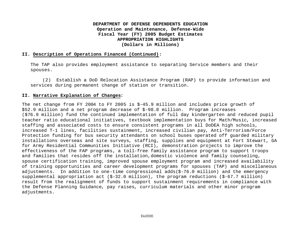#### **II. Description of Operations Financed (Continued):**

The TAP also provides employment assistance to separating Service members and their spouses.

(2) Establish a DoD Relocation Assistance Program (RAP) to provide information and services during permanent change of station or transition.

#### **II. Narrative Explanation of Changes:**

The net change from FY 2004 to FY 2005 is \$-45.9 million and includes price growth of \$52.9 million and a net program decrease of \$-98.8 million. Program increases (\$76.9 million) fund the continued implementation of full day kindergarten and reduced pupil teacher ratio educational initiatives, textbook implementation buys for Math/Music, increased staffing and associated costs to ensure consistent programs in all DoDEA high schools, increased T-1 lines, facilities sustainment, increased civilian pay, Anti-Terrorism/Force Protection funding for bus security attendants on school buses operated off guarded military installations overseas and site surveys, staffing, supplies and equipment at Fort Stewart, GA for Army Residential Communities Initiative (RCI), demonstration projects to improve the effectiveness of the FAP programs, a toll-free family assistance program to support troops and families that resides off the installation,domestic violence and family counseling, spouse certification training, improved spouse employment program and increased availability of training opportunities and career development programs for spouses (TAP) and miscellaneous adjustments. In addition to one-time congressional adds(\$-76.0 million) and the emergency supplemental appropriation act (\$-32.0 million), the program reductions (\$-67.7 million) result from the realignment of funds to support sustainment requirements in compliance with the Defense Planning Guidance, pay raises, curriculum materials and other minor program adjustments.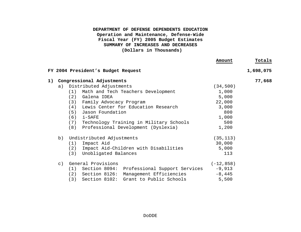|             |                                                      | Amount       | Totals    |
|-------------|------------------------------------------------------|--------------|-----------|
|             | FY 2004 President's Budget Request                   |              | 1,698,075 |
|             | 1) Congressional Adjustments                         |              | 77,668    |
| a)          | Distributed Adjustments                              | (34, 500)    |           |
|             | (1) Math and Tech Teachers Development               | 1,000        |           |
|             | (2) Galena IDEA                                      | 5,000        |           |
|             | (3) Family Advocacy Program                          | 22,000       |           |
|             | (4) Lewis Center for Education Research              | 3,000        |           |
|             | (5) Jason Foundation                                 | 800          |           |
|             | $(6)$ i-SAFE                                         | 1,000        |           |
|             | (7) Technology Training in Military Schools          | 500          |           |
|             | (8)<br>Professional Development (Dyslexia)           | 1,200        |           |
| b)          | Undistributed Adjustments                            | (35, 113)    |           |
|             | $(1)$ Impact Aid                                     | 30,000       |           |
|             | Impact Aid-Children with Disabilities<br>(2)         | 5,000        |           |
|             | Unobligated Balances<br>(3)                          | 113          |           |
| $\subset$ ) | General Provisions                                   | $(-12, 858)$ |           |
|             | $(1)$ Section 8094:<br>Professional Support Services | $-9,913$     |           |
|             | $(2)$ Section 8126:<br>Management Efficiencies       | $-8,445$     |           |
|             | $(3)$ Section 8102:<br>Grant to Public Schools       | 5,500        |           |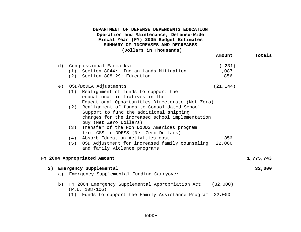|    |    |                                                                               | Amount    | Totals    |
|----|----|-------------------------------------------------------------------------------|-----------|-----------|
|    | d) | Congressional Earmarks:                                                       | $(-231)$  |           |
|    |    | (1) Section 8044: Indian Lands Mitigation                                     | $-1,087$  |           |
|    |    | (2) Section 808129: Education                                                 | 856       |           |
|    | e) | OSD/DoDEA Adjustments                                                         | (21, 144) |           |
|    |    | Realignment of funds to support the<br>(1)<br>educational initiatives in the  |           |           |
|    |    | Educational Opportunities Directorate (Net Zero)                              |           |           |
|    |    | Realignment of funds to Consolidated School<br>(2)                            |           |           |
|    |    | Support to fund the additional shipping                                       |           |           |
|    |    | charges for the increased school implementation                               |           |           |
|    |    | buy (Net Zero Dollars)                                                        |           |           |
|    |    | Transfer of the Non DoDDS Americas program<br>(3)                             |           |           |
|    |    | from CSS to DDESS (Net Zero Dollars)                                          |           |           |
|    |    | Absorb Education Activities cost<br>(4)                                       | $-856$    |           |
|    |    | OSD Adjustment for increased family counseling<br>(5)                         | 22,000    |           |
|    |    | and family violence programs                                                  |           |           |
|    |    | FY 2004 Appropriated Amount                                                   |           | 1,775,743 |
| 2) |    | Emergency Supplemental                                                        |           | 32,000    |
|    | a) | Emergency Supplemental Funding Carryover                                      |           |           |
|    | b) | FY 2004 Emergency Supplemental Appropriation Act (32,000)<br>$(P.L. 108-106)$ |           |           |
|    |    | (1) Funds to support the Family Assistance Program                            | 32,000    |           |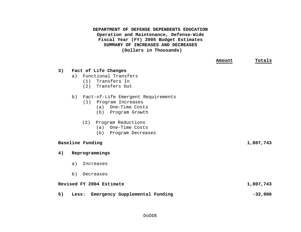|    |                                                                                                                                                                                           | Amount | Totals    |
|----|-------------------------------------------------------------------------------------------------------------------------------------------------------------------------------------------|--------|-----------|
| 3) | Fact of Life Changes<br>Functional Transfers<br>a)<br>(1) Transfers In<br>(2) Transfers Out                                                                                               |        |           |
|    | Fact-of-Life Emergent Requirements<br>b)<br>(1) Program Increases<br>(a) One-Time Costs<br>(b) Program Growth<br>Program Reductions<br>(2)<br>(a) One-Time Costs<br>(b) Program Decreases |        |           |
|    | Baseline Funding                                                                                                                                                                          |        | 1,807,743 |
| 4) | Reprogrammings                                                                                                                                                                            |        |           |
|    | a)<br>Increases                                                                                                                                                                           |        |           |
|    | b)<br>Decreases                                                                                                                                                                           |        |           |
|    | Revised FY 2004 Estimate                                                                                                                                                                  |        | 1,807,743 |
| 5) | Emergency Supplemental Funding<br>Less:                                                                                                                                                   |        | $-32,000$ |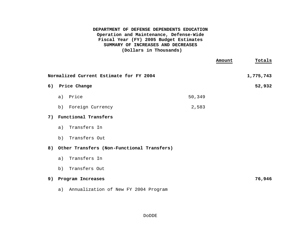|                                               | Totals<br>Amount |
|-----------------------------------------------|------------------|
| Normalized Current Estimate for FY 2004       | 1,775,743        |
| 6) Price Change                               | 52,932           |
| 50,349<br>Price<br>a)                         |                  |
| Foreign Currency<br>2,583<br>b)               |                  |
| 7) Functional Transfers                       |                  |
| Transfers In<br>a)                            |                  |
| Transfers Out<br>b)                           |                  |
| 8) Other Transfers (Non-Functional Transfers) |                  |
| Transfers In<br>a)                            |                  |
| Transfers Out<br>b)                           |                  |
| 9) Program Increases                          | 76,946           |
| Annualization of New FY 2004 Program<br>a)    |                  |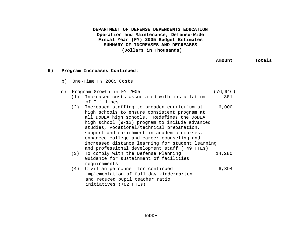|    |           |                                                                                                                                                                                                                                                                                                | Amount                    | Totals |
|----|-----------|------------------------------------------------------------------------------------------------------------------------------------------------------------------------------------------------------------------------------------------------------------------------------------------------|---------------------------|--------|
| 9) |           | Program Increases Continued:                                                                                                                                                                                                                                                                   |                           |        |
|    |           | b) One-Time FY 2005 Costs                                                                                                                                                                                                                                                                      |                           |        |
|    | $\circ$ ) | Program Growth in FY 2005<br>(1)<br>Increased costs associated with installation<br>of T-1 lines<br>Increased staffing to broaden curriculum at<br>(2)<br>high schools to ensure consistent program at<br>all DoDEA high schools. Redefines the DoDEA                                          | (76, 946)<br>301<br>6,000 |        |
|    |           | high school (9-12) program to include advanced<br>studies, vocational/technical preparation,<br>support and enrichment in academic courses,<br>enhanced college and career counseling and<br>increased distance learning for student learning<br>and professional development staff (+49 FTEs) |                           |        |
|    |           | To comply with the Defense Planning<br>(3)<br>Guidance for sustainment of facilities<br>requirements                                                                                                                                                                                           | 14,280                    |        |
|    |           | Civilian personnel for continued<br>(4)<br>implementation of full day kindergarten<br>and reduced pupil teacher ratio<br>initiatives (+82 FTEs)                                                                                                                                                | 6,894                     |        |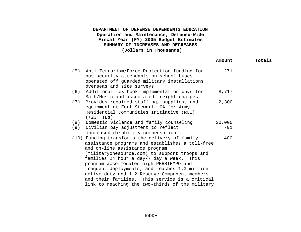|     |                                                                                                                                                                                                                                                                                                                                                                                                                                  | Amount | Totals |
|-----|----------------------------------------------------------------------------------------------------------------------------------------------------------------------------------------------------------------------------------------------------------------------------------------------------------------------------------------------------------------------------------------------------------------------------------|--------|--------|
| (5) | Anti-Terrorism/Force Protection funding for<br>bus security attendants on school buses<br>operated off guarded military installations<br>overseas and site surveys                                                                                                                                                                                                                                                               | 271    |        |
| (6) | Additional textbook implementation buys for<br>Math/Music and associated freight charges                                                                                                                                                                                                                                                                                                                                         | 8,717  |        |
| (7) | Provides required staffing, supplies, and<br>equipment at Fort Stewart, GA for Army<br>Residential Communities Initiative (RCI)<br>$(+23$ FTEs)                                                                                                                                                                                                                                                                                  | 2,300  |        |
| (8) | Domestic violence and family counseling                                                                                                                                                                                                                                                                                                                                                                                          | 20,000 |        |
| (9) | Civilian pay adjustment to reflect<br>increased disability compensation                                                                                                                                                                                                                                                                                                                                                          | 701    |        |
|     | (10) Funding transforms the delivery of family<br>assistance programs and establishes a toll-free<br>and on-line assistance program<br>(militaryonesource.com) to support troops and<br>families 24 hour a day/7 day a week. This<br>program accommodates high PERSTEMPO and<br>frequent deployments, and reaches 1.3 million<br>active duty and 1.2 Reserve Component members<br>and their families. This service is a critical | 400    |        |
|     | link to reaching the two-thirds of the military                                                                                                                                                                                                                                                                                                                                                                                  |        |        |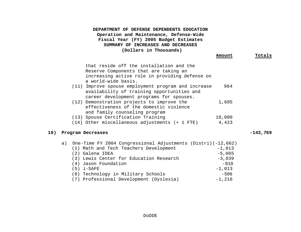|     | DEPARTMENT OF DEFENSE DEPENDENTS EDUCATION<br>Operation and Maintenance, Defense-Wide<br>Fiscal Year (FY) 2005 Budget Estimates<br>SUMMARY OF INCREASES AND DECREASES<br>(Dollars in Thousands)                  | Amount                                                 | Totals     |
|-----|------------------------------------------------------------------------------------------------------------------------------------------------------------------------------------------------------------------|--------------------------------------------------------|------------|
|     |                                                                                                                                                                                                                  |                                                        |            |
|     | that reside off the installation and the<br>Reserve Components that are taking an<br>increasing active role in providing defense on<br>a world-wide basis.                                                       |                                                        |            |
|     | (11) Improve spouse employment program and increase<br>availability of training opportunities and<br>career development programs for spouses.                                                                    | 964                                                    |            |
|     | (12) Demonstration projects to improve the<br>effectiveness of the domestic violence<br>and family counseling program                                                                                            | 1,695                                                  |            |
|     | (13) Spouse Certification Training                                                                                                                                                                               | 10,000                                                 |            |
|     | (14) Other miscellaneous adjustments (+ 1 FTE)                                                                                                                                                                   | 4,423                                                  |            |
| 10) | Program Decreases                                                                                                                                                                                                |                                                        | $-143,769$ |
|     | a) One-Time FY 2004 Congressional Adjustments (Distri) (-12,662)<br>(1) Math and Tech Teachers Development<br>(2) Galena IDEA<br>(3) Lewis Center for Education Research<br>(4) Jason Foundation<br>$(5)$ i-SAFE | $-1,013$<br>$-5,065$<br>$-3,039$<br>$-810$<br>$-1,013$ |            |

(6) Technology in Military Schools -506 (7) Professional Development (Dyslexia) -1,216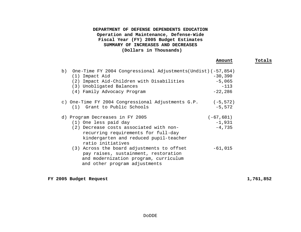|    |                                                                                                                                                                                   | Amount                | Totals |
|----|-----------------------------------------------------------------------------------------------------------------------------------------------------------------------------------|-----------------------|--------|
| b) | One-Time FY 2004 Congressional Adjustments(Undist) (-57,854)<br>(1) Impact Aid<br>(2) Impact Aid-Children with Disabilities                                                       | $-30,390$<br>$-5,065$ |        |
|    | (3) Unobligated Balances                                                                                                                                                          | $-113$                |        |
|    | (4) Family Advocacy Program                                                                                                                                                       | $-22,286$             |        |
|    | c) One-Time FY 2004 Congressional Adjustments G.P. (-5,572)                                                                                                                       |                       |        |
|    | Grant to Public Schools<br>(1)                                                                                                                                                    | $-5,572$              |        |
|    | d) Program Decreases in FY 2005                                                                                                                                                   | $(-67, 681)$          |        |
|    | (1) One less paid day                                                                                                                                                             | $-1,931$              |        |
|    | (2) Decrease costs associated with non-<br>recurring requirements for full-day<br>kindergarten and reduced pupil-teacher                                                          | $-4,735$              |        |
|    | ratio initiatives<br>(3) Across the board adjustments to offset<br>pay raises, sustainment, restoration<br>and modernization program, curriculum<br>and other program adjustments | $-61,015$             |        |

**FY 2005 Budget Request 1,761,852**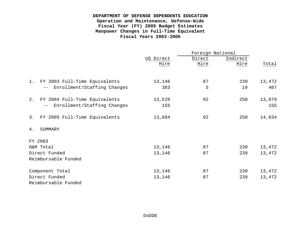# **DEPARTMENT OF DEFENSE DEPENDENTS EDUCATION Operation and Maintenance, Defense-Wide Fiscal Year (FY) 2005 Budget Estimates Manpower Changes in Full-Time Equivalent Fiscal Years 2003-2005**

|                                     |           | Foreign National |          |        |  |
|-------------------------------------|-----------|------------------|----------|--------|--|
|                                     | US Direct | Direct           | Indirect |        |  |
|                                     | Hire      | Hire             | Hire     | Total  |  |
|                                     |           |                  |          |        |  |
| FY 2003 Full-Time Equivalents<br>1. | 13,146    | 87               | 239      | 13,472 |  |
| Enrollment/Staffing Changes         | 383       | 5                | 19       | 407    |  |
| FY 2004 Full-Time Equivalents<br>2. | 13,529    | 92               | 258      | 13,879 |  |
| Enrollment/Staffing Changes         | 155       |                  |          | 155    |  |
| 3.<br>FY 2005 Full-Time Equivalents | 13,684    | 92               | 258      | 14,034 |  |
| SUMMARY<br>4.                       |           |                  |          |        |  |
| FY 2003                             |           |                  |          |        |  |
| O&M Total                           | 13,146    | 87               | 239      | 13,472 |  |
| Direct Funded                       | 13,146    | 87               | 239      | 13,472 |  |
| Reimbursable Funded                 |           |                  |          |        |  |
| Component Total                     | 13,146    | 87               | 239      | 13,472 |  |
| Direct Funded                       | 13,146    | 87               | 239      | 13,472 |  |
| Reimbursable Funded                 |           |                  |          |        |  |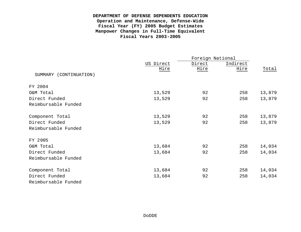# **DEPARTMENT OF DEFENSE DEPENDENTS EDUCATION Operation and Maintenance, Defense-Wide Fiscal Year (FY) 2005 Budget Estimates Manpower Changes in Full-Time Equivalent Fiscal Years 2003-2005**

|                        |           | Foreign National |          |        |
|------------------------|-----------|------------------|----------|--------|
|                        | US Direct | Direct           | Indirect |        |
|                        | Hire      | Hire             | Hire     | Total  |
| SUMMARY (CONTINUATION) |           |                  |          |        |
| FY 2004                |           |                  |          |        |
| O&M Total              | 13,529    | 92               | 258      | 13,879 |
| Direct Funded          | 13,529    | 92               | 258      | 13,879 |
| Reimbursable Funded    |           |                  |          |        |
| Component Total        | 13,529    | 92               | 258      | 13,879 |
| Direct Funded          | 13,529    | 92               | 258      | 13,879 |
| Reimbursable Funded    |           |                  |          |        |
| FY 2005                |           |                  |          |        |
| O&M Total              | 13,684    | 92               | 258      | 14,034 |
| Direct Funded          | 13,684    | 92               | 258      | 14,034 |
| Reimbursable Funded    |           |                  |          |        |
| Component Total        | 13,684    | 92               | 258      | 14,034 |
| Direct Funded          | 13,684    | 92               | 258      | 14,034 |
| Reimbursable Funded    |           |                  |          |        |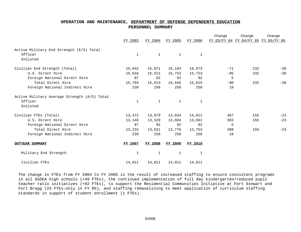#### **OPERATION AND MAINTENANCE, DEPARTMENT OF DEFENSE DEPENDENTS EDUCATION PERSONNEL SUMMARY**

|                                              |              |              |              |              | Change                              | Change | Change |
|----------------------------------------------|--------------|--------------|--------------|--------------|-------------------------------------|--------|--------|
|                                              | FY 2003      | FY 2004      | FY 2005      | FY 2006      | FY 03/FY 04 FY 04/FY 05 FY 05/FY 06 |        |        |
| Active Military End Strength (E/S) Total     |              |              |              |              |                                     |        |        |
| Officer                                      | $\mathbf{1}$ | $\mathbf{1}$ | $\mathbf{1}$ | $\mathbf{1}$ |                                     |        |        |
| Enlisted                                     |              |              |              |              |                                     |        |        |
| Civilian End Strength (Total)                | 15,942       | 15,871       | 16,103       | 16,073       | $-71$                               | 232    | $-30$  |
| U.S. Direct Hire                             | 15,616       | 15,521       | 15,753       | 15,723       | $-95$                               | 232    | $-30$  |
| Foreign National Direct Hire                 | 87           | 92           | 92           | 92           | 5                                   |        |        |
| Total Direct Hire                            | 15,703       | 15,613       | 15,845       | 15,815       | $-90$                               | 232    | $-30$  |
| Foreign National Indirect Hire               | 239          | 258          | 258          | 258          | 19                                  |        |        |
| Active Military Average Strength (A/S) Total |              |              |              |              |                                     |        |        |
| Officer                                      | $\mathbf{1}$ | 1            | $\mathbf{1}$ | $\mathbf{1}$ |                                     |        |        |
| Enlisted                                     |              |              |              |              |                                     |        |        |
| Civilian FTEs (Total)                        | 13,472       | 13,879       | 14,034       | 14,011       | 407                                 | 155    | $-23$  |
| U.S. Direct Hire                             | 13,146       | 13,529       | 13,684       | 13,661       | 383                                 | 155    | $-23$  |
| Foreign National Direct Hire                 | 87           | 92           | 92           | 92           | 5                                   |        |        |
| Total Direct Hire                            | 13,233       | 13,621       | 13,776       | 13,753       | 388                                 | 155    | $-23$  |
| Foreign National Indirect Hire               | 239          | 258          | 258          | 258          | 19                                  |        |        |
| <b>OUTYEAR SUMMARY</b>                       | FY 2007      | FY 2008      | FY 2009      | FY 2010      |                                     |        |        |
| Military End Strength                        | 1            | 1            | 1            | $\mathbf{1}$ |                                     |        |        |
| Civilian FTEs                                | 14,011       | 14,011       | 14,011       | 14,011       |                                     |        |        |

The change in FTEs from FY 2004 to FY 2005 is the result of increased staffing to ensure consistent programs in all DoDEA high schools (+49 FTEs), the continued implementation of full day kindergarten/reduced pupil teacher ratio initiatives (+82 FTEs), to support the Residential Communities Initiative at Fort Stewart and Fort Bragg (23 FTEs-only in FY 05), and staffing rebaselining to meet application of curriculum staffing standards in support of student enrollment (1 FTEs).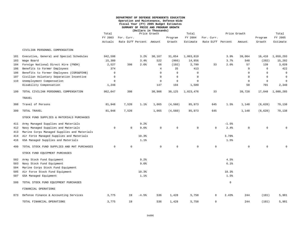#### **DEPARTMENT OF DEFENSE DEPENDENTS EDUCATION Operation and Maintenance, Defense-Wide Fiscal Year (FY) 2005 Budget Estimates SUMMARY OF PRICE AND PROGRAM GROWTH**

|     |                                             | (Dollars in Thousands) |                                        |         |                       |              |             |                                 |              |             |                   |                     |
|-----|---------------------------------------------|------------------------|----------------------------------------|---------|-----------------------|--------------|-------------|---------------------------------|--------------|-------------|-------------------|---------------------|
|     |                                             | Total                  |                                        |         | Price Growth<br>Total |              |             |                                 | Price Growth |             |                   | Total               |
|     |                                             | FY 2003<br>Actuals     | For. Curr.<br>Rate Diff Percent Amount |         |                       | Program      | FY 2004     | For. Curr.<br>Rate Diff Percent |              | Amount      | Program<br>Growth | FY 2005<br>Estimate |
|     |                                             |                        |                                        |         |                       | Growth       | Estimate    |                                 |              |             |                   |                     |
|     | CIVILIAN PERSONNEL COMPENSATION             |                        |                                        |         |                       |              |             |                                 |              |             |                   |                     |
| 101 | Executive, General and Special Schedules    | 942,598                |                                        | 3.2%    | 30,167                | 31,054       | 1,003,819   |                                 | 3.9%         | 39,064      | 16,410            | 1,059,293           |
| 103 | Wage Board                                  | 15,300                 |                                        | 3.4%    | 522                   | (966)        | 14,856      |                                 | 3.7%         | 548         | (202)             | 15,202              |
| 104 | Foreign National Direct Hire (FNDH)         | 2,527                  | 398                                    | 2.6%    | 66                    | (192)        | 2,799       | 33                              | 2.0%         | 57          | 139               | 3,028               |
| 106 | Benefits to Former Employees                | 374                    |                                        |         | $\overline{4}$        | 35           | 413         |                                 |              | 9           | $\mathsf{O}$      | 422                 |
| 106 | Benefits to Former Employees (CSRS&FEHB)    | $\Omega$               |                                        |         | $\Omega$              | $\Omega$     | $\Omega$    |                                 |              | $\Omega$    | $\Omega$          | $\Omega$            |
| 107 | Civilian Voluntary Separation Incentive     | $\Omega$               |                                        |         | $\mathbf 0$           | $\mathbf 0$  | $\Omega$    |                                 |              | $\mathbf 0$ | $\mathbf 0$       | 0                   |
| 110 | Unemployment Compensation                   | $\Omega$               |                                        |         | $\mathbf 0$           | $\mathbf{0}$ | $\Omega$    |                                 |              | $\Omega$    | $\mathbf 0$       | $\Omega$            |
|     | Disability Compensation                     | 1,248                  |                                        |         | 147                   | 194          | 1,589       |                                 |              | 50          | 701               | 2,340               |
| 199 | TOTAL CIVILIAN PERSONNEL COMPENSATION       | 962,047                | 398                                    |         | 30,906                | 30,125       | 1,023,476   | 33                              |              | 39,728      | 17,048            | 1,080,285           |
|     | TRAVEL                                      |                        |                                        |         |                       |              |             |                                 |              |             |                   |                     |
| 308 | Travel of Persons                           | 81,948                 | 7,520                                  | 1.1%    | 1,065                 | (4, 560)     | 85,973      | 645                             | 1.5%         | 1,148       | (8, 628)          | 79,138              |
| 399 | TOTAL TRAVEL                                | 81,948                 | 7,520                                  |         | 1,065                 | (4, 560)     | 85,973      | 645                             |              | 1,148       | (8, 628)          | 79,138              |
|     | STOCK FUND SUPPLIES & MATERIALS PURCHASES   |                        |                                        |         |                       |              |             |                                 |              |             |                   |                     |
| 411 | Army Managed Supplies and Materials         |                        |                                        | 9.2%    |                       |              |             |                                 | $-1.5%$      |             |                   |                     |
| 412 | Navy Managed Supplies and Materials         | $\mathbf 0$            | $\mathbf 0$                            | 9.6%    | $\mathbf 0$           | 0            | $\mathbf 0$ | $\mathbf 0$                     | 2.4%         | $\mathsf 0$ | $\mathsf{O}$      |                     |
| 413 | Marine Corps Managed Supplies and Materials |                        |                                        |         |                       |              |             |                                 |              |             |                   |                     |
| 414 | Air Force Managed Supplies and Materials    |                        |                                        | 10.3%   |                       |              |             |                                 | 3.78%        |             |                   |                     |
| 416 | GSA Managed Supplies and Materials          |                        |                                        | 1.1%    |                       |              |             |                                 | 1.5%         |             |                   |                     |
| 499 | TOTAL STOCK FUND SUPPLIES AND MAT PURCHASES | $\Omega$               | $\Omega$                               |         | $\Omega$              | $\Omega$     | $\Omega$    | $\mathbf 0$                     |              | $\Omega$    | $\mathbf 0$       |                     |
|     | STOCK FUND EQUIPMENT PURCHASES              |                        |                                        |         |                       |              |             |                                 |              |             |                   |                     |
| 502 | Army Stock Fund Equipment                   |                        |                                        | 9.2%    |                       |              |             |                                 | 4.5%         |             |                   |                     |
| 503 | Navy Stock Fund Equipment                   |                        |                                        | 9.6%    |                       |              |             |                                 | 6.1%         |             |                   |                     |
| 504 | Marine Corps Stock Fund Equipment           |                        |                                        |         |                       |              |             |                                 |              |             |                   |                     |
| 505 | Air Force Stock Fund Equipment              |                        |                                        | 10.3%   |                       |              |             |                                 | 18.3%        |             |                   |                     |
| 507 | GSA Managed Equipment                       |                        |                                        | 1.1%    |                       |              |             |                                 | 1.5%         |             |                   |                     |
| 599 | TOTAL STOCK FUND EQUIPMENT PURCHASES        |                        |                                        |         |                       |              |             |                                 | $\mathsf{O}$ |             |                   |                     |
|     | FINANCIAL OPERATIONS                        |                        |                                        |         |                       |              |             |                                 |              |             |                   |                     |
| 673 | Defense Finance & Accounting Services       | 3,775                  | 19                                     | $-4.5%$ | 536                   | 1,428        | 5,758       | $\mathbf 0$                     | 2.43%        | 244         | (101)             | 5,901               |
|     | TOTAL FINANCIAL OPERATIONS                  | 3.775                  | 19                                     |         | 536                   | 1,428        | 5.758       | $\Omega$                        |              | 244         | (101)             | 5,901               |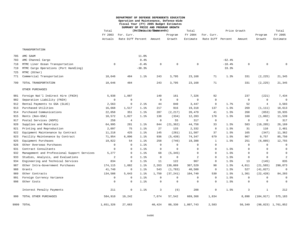#### **DEPARTMENT OF DEFENSE DEPENDENTS EDUCATION Operation and Maintenance, Defense-Wide Fiscal Year (FY) 2005 Budget Estimates SUMMARY OF PRICE AND PROGRAM GROWTH**

|     |                                              | Total       | (Dollargein Thousands) |          |             | Total       |             | Price Growth      |          |             |                     | Total                   |  |
|-----|----------------------------------------------|-------------|------------------------|----------|-------------|-------------|-------------|-------------------|----------|-------------|---------------------|-------------------------|--|
|     |                                              | FY 2003     | For. Curr.             |          |             | Program     | FY 2004     | For. Curr.        |          |             | Program             | FY 2005                 |  |
|     |                                              | Actuals     | Rate Diff Percent      |          | Amount      | Growth      | Estimate    | Rate Diff Percent |          | Amount      | Growth              | Estimate                |  |
|     | TRANSPORTATION                               |             |                        |          |             |             |             |                   |          |             |                     |                         |  |
| 705 | AMC SAAM                                     |             |                        | 11.0%    |             |             |             |                   |          |             |                     |                         |  |
| 703 | AMC Channel Cargo                            |             |                        | 0.4%     |             |             |             |                   | $-62.4%$ |             |                     |                         |  |
| 718 | MTMC Liner Ocean Transportation              | $\mathbf 0$ |                        | $-8.4%$  | $\mathbf 0$ | $\mathbf 0$ | $\mathsf 0$ |                   | $-10.4%$ | $\mathbf 0$ | $\mathsf{O}\xspace$ | $\Omega$                |  |
| 719 | MTMC Cargo Operations (Port Handling)        |             |                        | $-38.3%$ |             |             |             |                   | 33.3%    |             |                     |                         |  |
| 725 | MTMC (Other)                                 |             |                        |          |             |             |             |                   |          |             |                     |                         |  |
| 771 | Commercial Transportation                    | 18,646      | 484                    | 1.1%     | 243         | 3,795       | 23,168      | 71                | 1.3%     | 331         | (2, 225)            | 21,345                  |  |
| 799 | TOTAL TRANSPORTATION                         | 18,646      | 484                    |          | 243         | 3,795       | 23,168      | 71                |          | 331         | (2, 225)            | 21,345                  |  |
|     | OTHER PURCHASES                              |             |                        |          |             |             |             |                   |          |             |                     |                         |  |
| 901 | Foreign Nat'l Indirect Hire (FNIH)           | 5,938       | 1,087                  |          | 140         | 161         | 7,326       | 92                |          | 237         | (221)               | 7,434                   |  |
| 902 | Separation Liability (FNIH)                  | $\mathbf 0$ | $\mathbf 0$            |          | $\mathbf 0$ | $\mathbf 0$ | $\mathbf 0$ | $\mathbf 0$       |          | $\mathbf 0$ | $\mathbf 0$         | $\Omega$                |  |
| 912 | Rental Payments to GSA (SLUC)                | 2,563       | $\mathbf 0$            | 2.1%     | 44          | 840         | 3,447       | $\mathbf 0$       | 1.7%     | 52          | $\overline{4}$      | 3,503                   |  |
| 913 | Purchased Utilities                          | 16,668      | 1,517                  | 1.1%     | 217         | 916         | 19,318      | 137               | 1.5%     | 269         | (1, 111)            | 18,613                  |  |
| 914 | Purchased Communications                     | 22,058      | 351                    | 1.1%     | 287         | (2, 217)    | 20,479      | 41                | 1.5%     | 268         | (853)               | 19,935                  |  |
| 915 | Rents (Non-GSA)                              | 10,572      | 1,827                  | 1.1%     | 138         | (334)       | 12,203      | 178               | 1.5%     | 160         | (1,002)             | 11,539                  |  |
| 917 | Postal Services (NSPS)                       | 258         | $\overline{4}$         |          | $\mathbf 0$ | 55          | 317         | $\mathbf 0$       |          | $\mathbf 0$ | $\Omega$            | 317                     |  |
| 920 | Supplies and Materials                       | 64,995      | 281                    | 1.1%     | 844         | (21, 362)   | 44,758      | 33                | 1.5%     | 583         | (19, 205)           | 26,169                  |  |
| 921 | Printing and Reproduction                    | 2,097       | 75                     | 1.1%     | 27          | 133         | 2,332       | 8                 | 1.5%     | 31          | 110                 | 2,481                   |  |
| 922 | Equipment Maintenance by Contract            | 11,218      | 425                    | 1.1%     | 145         | (281)       | 11,507      | 37                | 1.5%     | 165         | (347)               | 11,362                  |  |
| 923 | Facility Maintenance by Contract             | 71,954      | 6,896                  | 1.1%     | 936         | (5, 439)    | 74,347      | 679               | 1.5%     | 967         | 9,757               | 85,750                  |  |
| 925 | Equipment Purchases                          | 19,822      | 54                     | 1.1%     | 258         | (746)       | 19,388      | $\mathbf{1}$      | 1.5%     | 251         | (6, 885)            | 12,755                  |  |
| 926 | Other Overseas Purchases                     | $\mathbf 0$ | $\mathbf 0$            | 1.1%     | $\mathbf 0$ | $\mathbf 0$ | $\mathsf 0$ | 0                 |          | $\mathsf 0$ | $\mathbf 0$         | $\overline{0}$          |  |
| 931 | Contract Consultants                         | $\mathbf 0$ | $\mathbf 0$            | 1.1%     | $\mathbf 0$ | $\Omega$    | $\mathbf 0$ | $\mathbf 0$       | 1.5%     | $\mathbf 0$ | $\Omega$            | 0                       |  |
| 932 | Management and Professional Support Services | 5,277       | $\mathbf{0}$           | 1.1%     | 68          | (5, 345)    | $\Omega$    | $\Omega$          | 1.5%     | $\mathbf 0$ | $\Omega$            | $\overline{0}$          |  |
| 933 | Studies, Analysis, and Evaluations           | 2           | $\mathbf 0$            | 1.1%     | $\mathbf 0$ | $\mathbf 0$ | 2           | 0                 | 1.5%     | 0           | $\mathbf 0$         | $\mathcal{D}$           |  |
| 934 | Engineering and Technical Services           | 834         | $\mathbf 0$            | 1.1%     | 11          | 122         | 967         | $\mathbf 0$       | 1.5%     | 13          | (145)               | 835                     |  |
| 987 | Other Intra-Government Purchases             | 174,115     | 1,082                  | 1.1%     | 2,263       | 130,069     | 307,529     | 98                | 1.5%     | 4,011       | (21, 565)           | 290,073                 |  |
| 988 | Grants                                       | 41,740      | $\mathbf 0$            | 1.1%     | 543         | (1, 783)    | 40,500      | $\mathbf 0$       | 1.5%     | 527         | (41, 027)           |                         |  |
| 989 | Other Contracts                              | 134,588     | 5,643                  | 1.1%     | 1,750       | (37, 241)   | 104,740     | 530               | 1.5%     | 1,361       | (22, 428)           | 84,203                  |  |
| 991 | Foreign Currency Variance                    | $\mathbf 0$ | $\mathbf 0$            | 1.1%     | $\mathbf 0$ | $\mathbf 0$ | $\mathbf 0$ | $\mathbf 0$       | 1.5%     | $\mathbf 0$ | $\mathbf 0$         | $\Omega$                |  |
| 998 | Other Costs                                  | $\Omega$    | $\mathbf 0$            | 1.1%     | $\mathbf 0$ | $\Omega$    | $\mathbf 0$ | $\Omega$          | 1.5%     | $\mathbf 0$ | $\Omega$            | $\Omega$                |  |
|     | Interest Penalty Payments                    | 211         | $\mathsf 0$            | 1.1%     | 3           | (6)         | 208         | $\mathbf 0$       | 1.5%     | 3           | $\mathbf{1}$        | 212                     |  |
| 999 | TOTAL OTHER PURCHASES                        | 584,910     | 19,242                 |          | 7,674       | 57,542      | 669,368     | 1,834             |          | 8,898       | (104, 917)          | 575,183                 |  |
|     | 9999 TOTAL                                   | 1,651,326   | 27,663                 |          | 40,424      | 88,330      | 1,807,743   | 2,583             |          | 50,349      |                     | $(98, 823)$ 1, 761, 852 |  |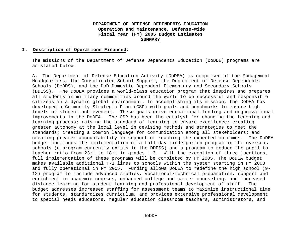#### **I. Description of Operations Financed:**

The missions of the Department of Defense Dependents Education (DoDDE) programs are as stated below:

A. The Department of Defense Education Activity (DoDEA) is comprised of the Management Headquarters, the Consolidated School Support, the Department of Defense Dependents Schools (DoDDS), and the DoD Domestic Dependent Elementary and Secondary Schools (DDESS). The DoDEA provides a world-class education program that inspires and prepares all students in military communities around the world to be successful and responsible citizens in a dynamic global environment. In accomplishing its mission, the DoDEA has developed a Community Strategic Plan (CSP) with goals and benchmarks to ensure high levels of student achievement. These goals drive educational funding and organizational improvements in the DoDEA. The CSP has been the catalyst for changing the teaching and learning process; raising the standard of learning to ensure excellence; creating greater autonomy at the local level in devising methods and strategies to meet the standards; creating a common language for communication among all stakeholders; and creating greater accountability in support of reaching the expected outcomes. The DoDEA budget continues the implementation of a full day kindergarten program in the overseas schools (a program currently exists in the DDESS) and a program to reduce the pupil to teacher ratio from 23:1 to 18:1 in grades 1-3. With the exception of three locations, full implementation of these programs will be completed by FY 2005. The DoDEA budget makes available additional T-1 lines to schools within the system starting in FY 2003 and fully operational in FY 2005. Funding allows DoDEA to redefine the high school (9- 12) program to include advanced studies, vocational/technical preparation, support and enrichment in academic courses, enhanced college and career counseling, and increased distance learning for student learning and professional development of staff. The budget addresses increased staffing for assessment teams to maximize instructional time for students, standardizes curriculum, and provides extensive professional development to special needs educators, regular education classroom teachers, administrators, and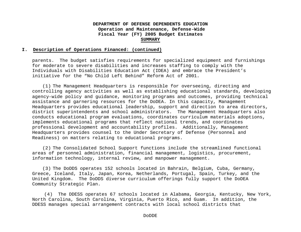#### **I. Description of Operations Financed: (continued)**

parents. The budget satisfies requirements for specialized equipment and furnishings for moderate to severe disabilities and increases staffing to comply with the Individuals with Disabilities Education Act (IDEA) and embrace the President's initiative for the "No Child Left Behind" Reform Act of 2001.

(1) The Management Headquarters is responsible for overseeing, directing and controlling agency activities as well as establishing educational standards, developing agency-wide policy and guidance, monitoring programs and outcomes, providing technical assistance and garnering resources for the DoDEA. In this capacity, Management Headquarters provides educational leadership, support and direction to area directors, district superintendents and school administrators. The Management Headquarters also conducts educational program evaluations, coordinates curriculum materials adoptions, implements educational programs that reflect national trends, and coordinates professional development and accountability profiles. Additionally, Management Headquarters provides counsel to the Under Secretary of Defense (Personnel and Readiness) on matters relating to educational programs.

(2) The Consolidated School Support functions include the streamlined functional areas of personnel administration, financial management, logistics, procurement, information technology, internal review, and manpower management.

(3) The DoDDS operates 152 schools located in Bahrain, Belgium, Cuba, Germany, Greece, Iceland, Italy, Japan, Korea, Netherlands, Portugal, Spain, Turkey, and the United Kingdom. The DoDDS diverse curriculum offerings fully support the DoDEA Community Strategic Plan.

(4) The DDESS operates 67 schools located in Alabama, Georgia, Kentucky, New York, North Carolina, South Carolina, Virginia, Puerto Rico, and Guam. In addition, the DDESS manages special arrangement contracts with local school districts that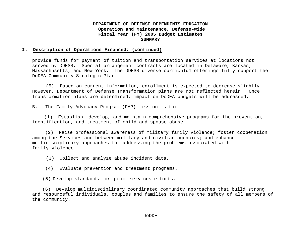#### **I. Description of Operations Financed: (continued)**

provide funds for payment of tuition and transportation services at locations not served by DDESS. Special arrangement contracts are located in Delaware, Kansas, Massachusetts, and New York. The DDESS diverse curriculum offerings fully support the DoDEA Community Strategic Plan.

(5) Based on current information, enrollment is expected to decrease slightly. However, Department of Defense Transformation plans are not reflected herein. Once Transformation plans are determined, impact on DoDEA budgets will be addressed.

B. The Family Advocacy Program (FAP) mission is to:

 (1) Establish, develop, and maintain comprehensive programs for the prevention, identification, and treatment of child and spouse abuse.

 (2) Raise professional awareness of military family violence; foster cooperation among the Services and between military and civilian agencies; and enhance multidisciplinary approaches for addressing the problems associated with family violence.

(3) Collect and analyze abuse incident data.

(4) Evaluate prevention and treatment programs.

(5) Develop standards for joint-services efforts.

(6) Develop multidisciplinary coordinated community approaches that build strong and resourceful individuals, couples and families to ensure the safety of all members of the community.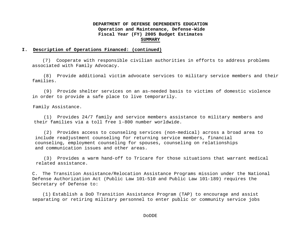#### **I. Description of Operations Financed: (continued)**

(7) Cooperate with responsible civilian authorities in efforts to address problems associated with Family Advocacy.

 (8) Provide additional victim advocate services to military service members and their families.

 (9) Provide shelter services on an as-needed basis to victims of domestic violence in order to provide a safe place to live temporarily.

Family Assistance.

 (1) Provides 24/7 family and service members assistance to military members and their families via a toll free 1-800 number worldwide.

 (2) Provides access to counseling services (non-medical) across a broad area to include readjustment counseling for returning service members, financial counseling, employment counseling for spouses, counseling on relationships and communication issues and other areas.

 (3) Provides a warm hand-off to Tricare for those situations that warrant medical related assistance.

C. The Transition Assistance/Relocation Assistance Programs mission under the National Defense Authorization Act (Public Law 101-510 and Public Law 101-189) requires the Secretary of Defense to:

(1) Establish a DoD Transition Assistance Program (TAP) to encourage and assist separating or retiring military personnel to enter public or community service jobs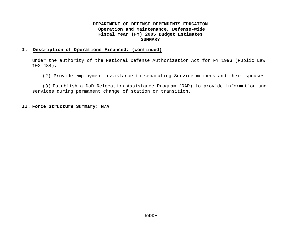#### **I. Description of Operations Financed: (continued)**

under the authority of the National Defense Authorization Act for FY 1993 (Public Law  $102-484$ ).

(2) Provide employment assistance to separating Service members and their spouses.

(3) Establish a DoD Relocation Assistance Program (RAP) to provide information and services during permanent change of station or transition.

#### **II. Force Structure Summary: N/A**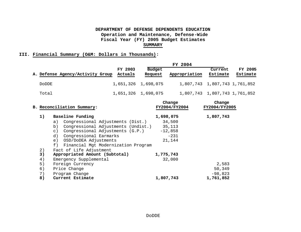#### **III. Financial Summary (O&M: Dollars in Thousands):**

|                                  |                    |                          | FY 2004       |                               |                               |
|----------------------------------|--------------------|--------------------------|---------------|-------------------------------|-------------------------------|
| A. Defense Agency/Activity Group | FY 2003<br>Actuals | <b>Budget</b><br>Request | Appropriation | Current<br>Estimate           | FY 2005<br>Estimate           |
| <b>DODDE</b>                     |                    | 1,651,326 1,698,075      |               | 1,807,743 1,807,743 1,761,852 |                               |
| Total                            |                    | 1,651,326 1,698,075      |               |                               | 1,807,743 1,807,743 1,761,852 |

|    | B. Reconciliation Summary:                  | Change<br>FY2004/FY2004 | Change<br>FY2004/FY2005 |
|----|---------------------------------------------|-------------------------|-------------------------|
| 1) | Baseline Funding                            | 1,698,075               | 1,807,743               |
|    | Congressional Adjustments (Dist.)<br>a)     | 34,500                  |                         |
|    | Congressional Adjustments (Undist.)<br>b)   | 35,113                  |                         |
|    | Congressional Adjustments (G.P.)<br>$\in$ ) | $-12,858$               |                         |
|    | d) Congressional Earmarks                   | $-231$                  |                         |
|    | e) OSD/DoDEA Adjustments                    | 21,144                  |                         |
|    | f) Financial Mgt Modernization Program      |                         |                         |
| 2) | Fact of Life Adjustment                     |                         |                         |
| 3) | Appropriated Amount (Subtotal)              | 1,775,743               |                         |
| 4) | Emergency Supplemental                      | 32,000                  |                         |
| 5) | Foreign Currency                            |                         | 2,583                   |
| 6) | Price Change                                |                         | 50,349                  |
| 7) | Program Change                              |                         | $-98,823$               |
| 8) | Current Estimate                            | 1,807,743               | 1,761,852               |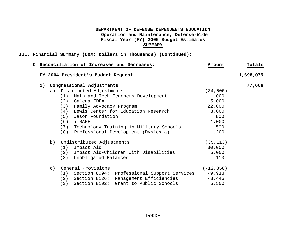|    |           | C. Reconciliation of Increases and Decreases:   | Amount       | Totals    |
|----|-----------|-------------------------------------------------|--------------|-----------|
|    |           | FY 2004 President's Budget Request              |              | 1,698,075 |
| 1) |           | Congressional Adjustments                       |              | 77,668    |
|    | a)        | Distributed Adjustments                         | (34, 500)    |           |
|    |           | Math and Tech Teachers Development<br>(1)       | 1,000        |           |
|    |           | (2)<br>Galena IDEA                              | 5,000        |           |
|    |           | (3) Family Advocacy Program                     | 22,000       |           |
|    |           | Lewis Center for Education Research<br>(4)      | 3,000        |           |
|    |           | Jason Foundation<br>(5)                         | 800          |           |
|    |           | (6)<br>i-SAFE                                   | 1,000        |           |
|    |           | Technology Training in Military Schools<br>(7)  | 500          |           |
|    |           | (8)<br>Professional Development (Dyslexia)      | 1,200        |           |
|    | b)        | Undistributed Adjustments                       | (35, 113)    |           |
|    |           | (1) Impact Aid                                  | 30,000       |           |
|    |           | (2) Impact Aid-Children with Disabilities       | 5,000        |           |
|    |           | Unobligated Balances<br>(3)                     | 113          |           |
|    | $\circ$ ) | General Provisions                              | $(-12, 858)$ |           |
|    |           | (1) Section 8094: Professional Support Services | $-9,913$     |           |
|    |           | (2) Section 8126: Management Efficiencies       | $-8,445$     |           |
|    |           | Section 8102: Grant to Public Schools<br>(3)    | 5,500        |           |
|    |           |                                                 |              |           |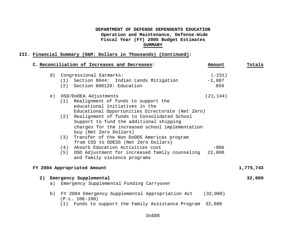|    | C. Reconciliation of Increases and Decreases:                                                                                                                                                                                                                                                                                                                                                                                                                                                                                                                            | Amount                        | Totals    |
|----|--------------------------------------------------------------------------------------------------------------------------------------------------------------------------------------------------------------------------------------------------------------------------------------------------------------------------------------------------------------------------------------------------------------------------------------------------------------------------------------------------------------------------------------------------------------------------|-------------------------------|-----------|
|    | d) Congressional Earmarks:<br>Section 8044: Indian Lands Mitigation<br>(1)<br>(2) Section 808129: Education                                                                                                                                                                                                                                                                                                                                                                                                                                                              | $(-231)$<br>$-1,087$<br>856   |           |
| e) | OSD/DoDEA Adjustments<br>Realignment of funds to support the<br>(1)<br>educational initiatives in the<br>Educational Opportunities Directorate (Net Zero)<br>Realignment of funds to Consolidated School<br>(2)<br>Support to fund the additional shipping<br>charges for the increased school implementation<br>buy (Net Zero Dollars)<br>Transfer of the Non DoDDS Americas program<br>(3)<br>from CSS to DDESS (Net Zero Dollars)<br>Absorb Education Activities cost<br>(4)<br>OSD Adjustment for increased family counseling<br>(5)<br>and family violence programs | (21, 144)<br>$-856$<br>22,000 |           |
|    | FY 2004 Appropriated Amount                                                                                                                                                                                                                                                                                                                                                                                                                                                                                                                                              |                               | 1,775,743 |
|    | 2) Emergency Supplemental<br>a) Emergency Supplemental Funding Carryover                                                                                                                                                                                                                                                                                                                                                                                                                                                                                                 |                               | 32,000    |
| b) | FY 2004 Emergency Supplemental Appropriation Act (32,000)<br>$(P.L. 108-106)$<br>(1) Funds to support the Family Assistance Program                                                                                                                                                                                                                                                                                                                                                                                                                                      | 32,000                        |           |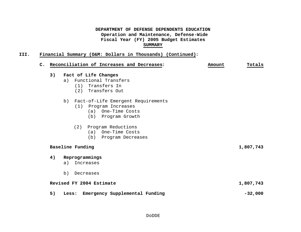|    | C. Reconciliation of Increases and Decreases:                                                                 | Amount | Totals    |
|----|---------------------------------------------------------------------------------------------------------------|--------|-----------|
| 3) | Fact of Life Changes<br>Functional Transfers<br>a)<br>(1) Transfers In<br>(2) Transfers Out                   |        |           |
|    | Fact-of-Life Emergent Requirements<br>b)<br>(1) Program Increases<br>(a) One-Time Costs<br>(b) Program Growth |        |           |
|    | Program Reductions<br>(2)<br>(a) One-Time Costs<br>(b) Program Decreases                                      |        |           |
|    | Baseline Funding                                                                                              |        | 1,807,743 |
| 4) | Reprogrammings<br>Increases<br>a)                                                                             |        |           |
|    | b)<br>Decreases                                                                                               |        |           |
|    | Revised FY 2004 Estimate                                                                                      |        | 1,807,743 |
| 5) | Emergency Supplemental Funding<br>Less:                                                                       |        | $-32,000$ |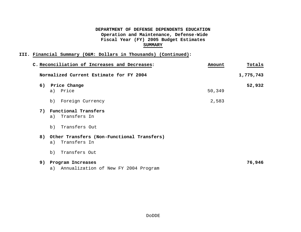| C. Reconciliation of Increases and Decreases: | Amount | Totals    |
|-----------------------------------------------|--------|-----------|
| Normalized Current Estimate for FY 2004       |        | 1,775,743 |
| 6) Price Change                               |        | 52,932    |
| a) Price                                      | 50,349 |           |
| Foreign Currency<br>b)                        | 2,583  |           |
| 7) Functional Transfers                       |        |           |
| Transfers In<br>a)                            |        |           |
| Transfers Out<br>b)                           |        |           |
| 8) Other Transfers (Non-Functional Transfers) |        |           |
| Transfers In<br>a)                            |        |           |
| Transfers Out<br>b)                           |        |           |
| 9) Program Increases                          |        | 76,946    |
| a) Annualization of New FY 2004 Program       |        |           |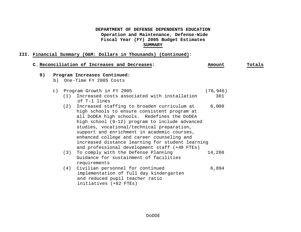|    |             | C. Reconciliation of Increases and Decreases:                                                                                                                                                                                                                                                                                                                                                                                                       | Amount    | Totals |
|----|-------------|-----------------------------------------------------------------------------------------------------------------------------------------------------------------------------------------------------------------------------------------------------------------------------------------------------------------------------------------------------------------------------------------------------------------------------------------------------|-----------|--------|
| 9) |             | Program Increases Continued:                                                                                                                                                                                                                                                                                                                                                                                                                        |           |        |
|    | b)          | One-Time FY 2005 Costs                                                                                                                                                                                                                                                                                                                                                                                                                              |           |        |
|    | $\subset$ ) | Program Growth in FY 2005                                                                                                                                                                                                                                                                                                                                                                                                                           | (76, 946) |        |
|    |             | Increased costs associated with installation<br>(1)<br>of T-1 lines                                                                                                                                                                                                                                                                                                                                                                                 | 301       |        |
|    |             | Increased staffing to broaden curriculum at<br>(2)<br>high schools to ensure consistent program at<br>all DoDEA high schools. Redefines the DoDEA<br>high school (9-12) program to include advanced<br>studies, vocational/technical preparation,<br>support and enrichment in academic courses,<br>enhanced college and career counseling and<br>increased distance learning for student learning<br>and professional development staff (+49 FTEs) | 6,000     |        |
|    |             | To comply with the Defense Planning<br>(3)<br>Guidance for sustainment of facilities<br>requirements                                                                                                                                                                                                                                                                                                                                                | 14,280    |        |
|    |             | Civilian personnel for continued<br>(4)<br>implementation of full day kindergarten<br>and reduced pupil teacher ratio<br>initiatives (+82 FTEs)                                                                                                                                                                                                                                                                                                     | 6,894     |        |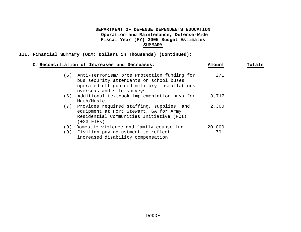|     | C. Reconciliation of Increases and Decreases:                                                                                                                      | Amount        | Totals |
|-----|--------------------------------------------------------------------------------------------------------------------------------------------------------------------|---------------|--------|
| (5) | Anti-Terrorism/Force Protection funding for<br>bus security attendants on school buses<br>operated off guarded military installations<br>overseas and site surveys | 271           |        |
|     | (6) Additional textbook implementation buys for<br>Math/Music                                                                                                      | 8,717         |        |
|     | (7) Provides required staffing, supplies, and<br>equipment at Fort Stewart, GA for Army<br>Residential Communities Initiative (RCI)<br>$(+23$ FTEs)                | 2,300         |        |
| (8) | Domestic violence and family counseling<br>(9) Civilian pay adjustment to reflect<br>increased disability compensation                                             | 20,000<br>701 |        |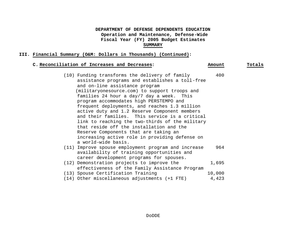#### **III. Financial Summary (O&M: Dollars in Thousands) (Continued):**

#### **C. Reconciliation of Increases and Decreases: Amount Totals**

 (10) Funding transforms the delivery of family 400 assistance programs and establishes a toll-free and on-line assistance program (militaryonesource.com) to support troops and families 24 hour a day/7 day a week. This program accommodates high PERSTEMPO and frequent deployments, and reaches 1.3 million active duty and 1.2 Reserve Component members and their families. This service is a critical link to reaching the two-thirds of the military that reside off the installation and the Reserve Components that are taking an increasing active role in providing defense on a world-wide basis. (11) Improve spouse employment program and increase 964 availability of training opportunities and career development programs for spouses. (12) Demonstration projects to improve the 1,695 effectiveness of the Family Assistance Program (13) Spouse Certification Training 10,000 (14) Other miscellaneous adjustments (+1 FTE) 4,423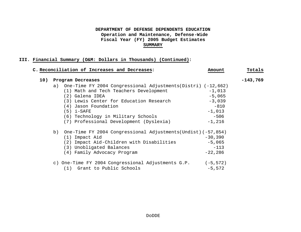| C. Reconciliation of Increases and Decreases:                   | Amount    | Totals     |
|-----------------------------------------------------------------|-----------|------------|
| 10)<br>Program Decreases                                        |           | $-143,769$ |
| a) One-Time FY 2004 Congressional Adjustments(Distri) (-12,662) |           |            |
| (1) Math and Tech Teachers Development                          | $-1,013$  |            |
| (2) Galena IDEA                                                 | $-5,065$  |            |
| (3) Lewis Center for Education Research                         | $-3,039$  |            |
| (4) Jason Foundation                                            | $-810$    |            |
| $(5)$ i-SAFE                                                    | $-1,013$  |            |
| (6) Technology in Military Schools                              | $-506$    |            |
| (7) Professional Development (Dyslexia)                         | $-1,216$  |            |
| b) One-Time FY 2004 Congressional Adjustments(Undist) (-57,854) |           |            |
| (1) Impact Aid                                                  | $-30,390$ |            |
| (2) Impact Aid-Children with Disabilities                       | $-5,065$  |            |
| (3) Unobligated Balances                                        | $-113$    |            |
| (4) Family Advocacy Program                                     | $-22,286$ |            |
| c) One-Time FY 2004 Congressional Adjustments G.P. (-5,572)     |           |            |
| (1) Grant to Public Schools                                     | $-5,572$  |            |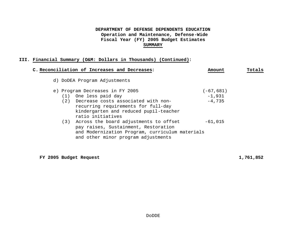#### **III. Financial Summary (O&M: Dollars in Thousands) (Continued):**

|     | C. Reconciliation of Increases and Decreases:                                                                                                                                | Amount       | Totals |
|-----|------------------------------------------------------------------------------------------------------------------------------------------------------------------------------|--------------|--------|
|     | d) DoDEA Program Adjustments                                                                                                                                                 |              |        |
|     | e) Program Decreases in FY 2005                                                                                                                                              | $(-67, 681)$ |        |
| (1) | One less paid day                                                                                                                                                            | $-1,931$     |        |
| (2) | Decrease costs associated with non-<br>recurring requirements for full-day<br>kindergarten and reduced pupil-teacher<br>ratio initiatives                                    | $-4,735$     |        |
|     | (3) Across the board adjustments to offset<br>pay raises, Sustainment, Restoration<br>and Modernization Program, curriculum materials<br>and other minor program adjustments | $-61,015$    |        |

**FY 2005 Budget Request 1,761,852**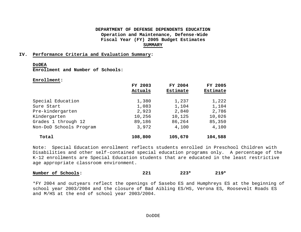#### **IV. Performance Criteria and Evaluation Summary:**

#### **DoDEA**

**Enrollment and Number of Schools:**

**Enrollment:**

|                         | FY 2003<br>Actuals | FY 2004<br>Estimate | FY 2005<br><b>Estimate</b> |
|-------------------------|--------------------|---------------------|----------------------------|
| Special Education       | 1,380              | 1,237               | 1,222                      |
| Sure Start              | 1,083              | 1,104               | 1,104                      |
| Pre-kindergarten        | 2,923              | 2,840               | 2,786                      |
| Kindergarten            | 10,256             | 10,125              | 10,026                     |
| Grades 1 through 12     | 89,186             | 86,264              | 85,350                     |
| Non-DoD Schools Program | 3,972              | 4,100               | 4,100                      |
| Total                   | 108,800            | 105,670             | 104,588                    |

Note: Special Education enrollment reflects students enrolled in Preschool Children with Disabilities and other self-contained special education programs only. A percentage of the K-12 enrollments are Special Education students that are educated in the least restrictive age appropriate classroom environment.

| Number of Schools: | ົດ ດ້<br>44 L | $223*$ | $219*$ |
|--------------------|---------------|--------|--------|
|                    |               |        |        |

\*FY 2004 and outyears reflect the openings of Sasebo ES and Humphreys ES at the beginning of school year 2003/2004 and the closure of Bad Aibling ES/HS, Verona ES, Roosevelt Roads ES and M/HS at the end of school year 2003/2004.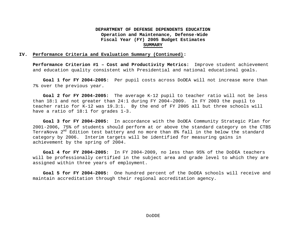#### **IV. Performance Criteria and Evaluation Summary (Continued):**

**Performance Criterion #1 – Cost and Productivity Metrics:** Improve student achievement and education quality consistent with Presidential and national educational goals.

**Goal 1 for FY 2004-2005**: Per pupil costs across DoDEA will not increase more than 7% over the previous year.

**Goal 2 for FY 2004-2005:** The average K-12 pupil to teacher ratio will not be less than 18:1 and not greater than 24:1 during FY 2004–2009. In FY 2003 the pupil to teacher ratio for K-12 was 19.3:1. By the end of FY 2005 all but three schools will have a ratio of 18:1 for grades 1-3.

**Goal 3 for FY 2004-2005:** In accordance with the DoDEA Community Strategic Plan for 2001-2006, 75% of students should perform at or above the standard category on the CTBS TerraNova 2<sup>nd</sup> Edition test battery and no more than 8% fall in the below the standard category by 2006. Interim targets will be identified for measuring gains in achievement by the spring of 2004.

**Goal 4 for FY 2004-2005:** In FY 2004-2009, no less than 95% of the DoDEA teachers will be professionally certified in the subject area and grade level to which they are assigned within three years of employment.

**Goal 5 for FY 2004-2005:** One hundred percent of the DoDEA schools will receive and maintain accreditation through their regional accreditation agency.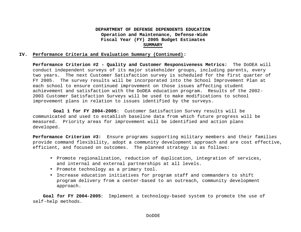#### **IV. Performance Criteria and Evaluation Summary (Continued):**

**Performance Criterion #2 - Quality and Customer Responsiveness Metrics:** The DoDEA will conduct independent surveys of its major stakeholder groups, including parents, every two years. The next Customer Satisfaction survey is scheduled for the first quarter of FY 2005. The survey results will be incorporated into the School Improvement Plan at each school to ensure continued improvement on those issues affecting student achievement and satisfaction with the DoDEA education program. Results of the 2002- 2003 Customer Satisfaction Surveys will be used to make modifications to school improvement plans in relation to issues identified by the surveys.

**Goal 1 for FY 2004-2005**: Customer Satisfaction Survey results will be communicated and used to establish baseline data from which future progress will be measured. Priority areas for improvement will be identified and action plans developed.

**Performance Criterion #3:** Ensure programs supporting military members and their families provide command flexibility, adopt a community development approach and are cost effective, efficient, and focused on outcomes. The planned strategy is as follows:

- Promote regionalization, reduction of duplication, integration of services, and internal and external partnerships at all levels.
- Promote technology as a primary tool.
- Increase education initiatives for program staff and commanders to shift program delivery from a center-based to an outreach, community development approach.

**Goal for FY 2004-2005**: Implement a technology-based system to promote the use of self-help methods.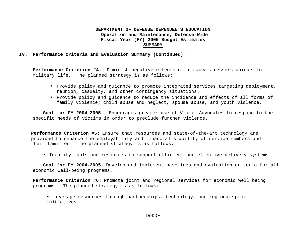#### **IV. Performance Criteria and Evaluation Summary (Continued):**

**Performance Criterion #4:** Diminish negative effects of primary stressors unique to military life. The planned strategy is as follows:

- Provide policy and guidance to promote integrated services targeting deployment, reunion, casualty, and other contingency situations.
- Provide policy and guidance to reduce the incidence and effects of all forms of family violence; child abuse and neglect, spouse abuse, and youth violence.

**Goal for FY 2004-2005**: Encourages greater use of Victim Advocates to respond to the specific needs of victims in order to preclude further violence.

**Performance Criterion #5:** Ensure that resources and state-of-the-art technology are provided to enhance the employability and financial stability of service members and their families. The planned strategy is as follows:

• Identify tools and resources to support efficient and effective delivery systems.

**Goal for FY 2004-2005**: Develop and implement baselines and evaluation criteria for all economic well-being programs.

**Performance Criterion #6:** Promote joint and regional services for economic well being programs. The planned strategy is as follows:

• Leverage resources through partnerships, technology, and regional/joint initiatives.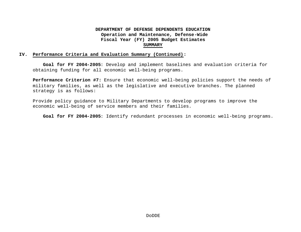#### **IV. Performance Criteria and Evaluation Summary (Continued):**

**Goal for FY 2004-2005**: Develop and implement baselines and evaluation criteria for obtaining funding for all economic well-being programs.

**Performance Criterion #7:** Ensure that economic well-being policies support the needs of military families, as well as the legislative and executive branches. The planned strategy is as follows:

Provide policy guidance to Military Departments to develop programs to improve the economic well-being of service members and their families.

**Goal for FY 2004-2005**: Identify redundant processes in economic well-being programs.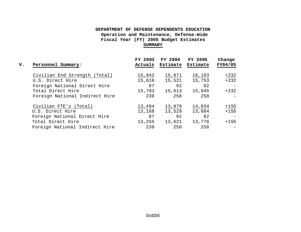| v. | Personnel Summary:             | FY 2003<br>Actuals | FY 2004<br>Estimate | FY 2005<br>Estimate | Change<br>FY04/05 |
|----|--------------------------------|--------------------|---------------------|---------------------|-------------------|
|    | Civilian End Strength (Total)  | 15,942             | 15,871              | 16,103              | $+232$            |
|    | U.S. Direct Hire               | 15,616             | 15,521              | 15,753              | $+232$            |
|    | Foreign National Direct Hire   | 87                 | 92                  | 92                  |                   |
|    | Total Direct Hire              | 15,703             | 15,613              | 15,845              | $+232$            |
|    | Foreign National Indirect Hire | 239                | 258                 | 258                 |                   |
|    | Civilian FTE's (Total)         | 13,494             | 13,879              | 14,034              | $+155$            |
|    | U.S. Direct Hire               | 13,168             | 13,529              | 13,684              | $+155$            |
|    | Foreign National Direct Hire   | 87                 | 92                  | 92                  |                   |
|    | Total Direct Hire              | 13,255             | 13,621              | 13,776              | $+155$            |
|    | Foreign National Indirect Hire | 239                | 258                 | 258                 |                   |